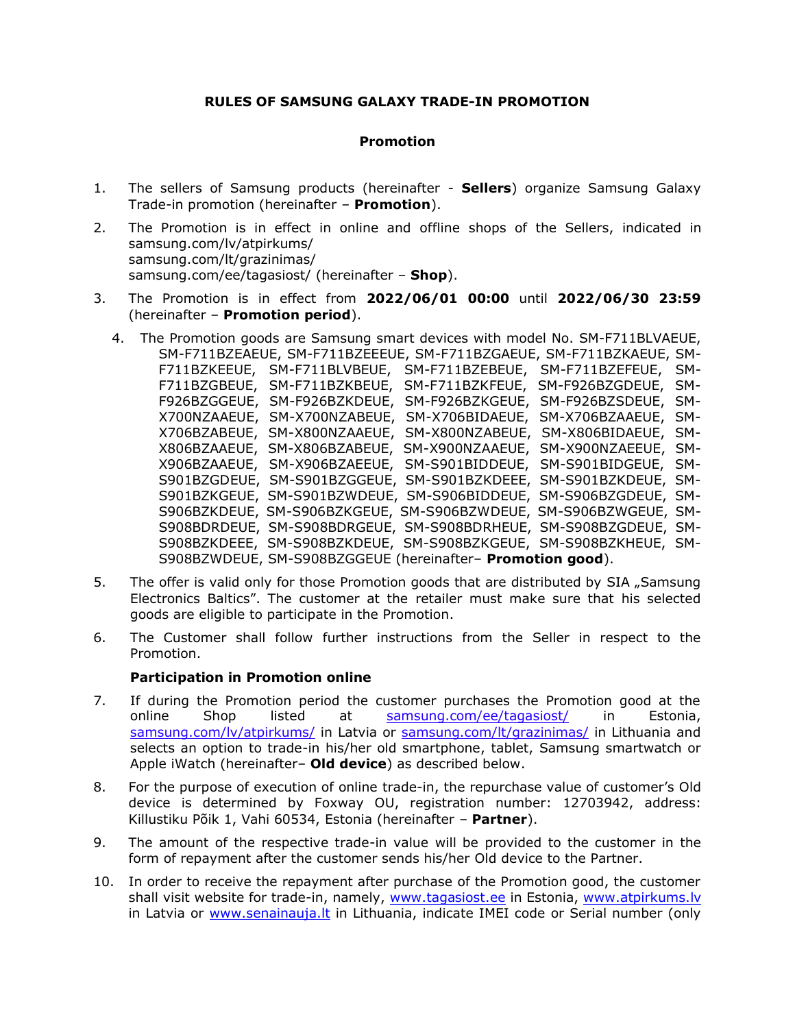## **RULES OF SAMSUNG GALAXY TRADE-IN PROMOTION**

# **Promotion**

- 1. The sellers of Samsung products (hereinafter **Sellers**) organize Samsung Galaxy Trade-in promotion (hereinafter – **Promotion**).
- 2. The Promotion is in effect in online and offline shops of the Sellers, indicated in samsung.com/lv/atpirkums/ samsung.com/lt/grazinimas/ samsung.com/ee/tagasiost/ (hereinafter – **Shop**).
- 3. The Promotion is in effect from **2022/06/01 00:00** until **2022/06/30 23:59**  (hereinafter – **Promotion period**).
	- 4. The Promotion goods are Samsung smart devices with model No. SM-F711BLVAEUE, SM-F711BZEAEUE, SM-F711BZEEEUE, SM-F711BZGAEUE, SM-F711BZKAEUE, SM-F711BZKEEUE, SM-F711BLVBEUE, SM-F711BZEBEUE, SM-F711BZEFEUE, SM-F711BZGBEUE, SM-F711BZKBEUE, SM-F711BZKFEUE, SM-F926BZGDEUE, SM-F926BZGGEUE, SM-F926BZKDEUE, SM-F926BZKGEUE, SM-F926BZSDEUE, SM-X700NZAAEUE, SM-X700NZABEUE, SM-X706BIDAEUE, SM-X706BZAAEUE, SM-X706BZABEUE, SM-X800NZAAEUE, SM-X800NZABEUE, SM-X806BIDAEUE, SM-X806BZAAEUE, SM-X806BZABEUE, SM-X900NZAAEUE, SM-X900NZAEEUE, SM-X906BZAAEUE, SM-X906BZAEEUE, SM-S901BIDDEUE, SM-S901BIDGEUE, SM-S901BZGDEUE, SM-S901BZGGEUE, SM-S901BZKDEEE, SM-S901BZKDEUE, SM-S901BZKGEUE, SM-S901BZWDEUE, SM-S906BIDDEUE, SM-S906BZGDEUE, SM-S906BZKDEUE, SM-S906BZKGEUE, SM-S906BZWDEUE, SM-S906BZWGEUE, SM-S908BDRDEUE, SM-S908BDRGEUE, SM-S908BDRHEUE, SM-S908BZGDEUE, SM-S908BZKDEEE, SM-S908BZKDEUE, SM-S908BZKGEUE, SM-S908BZKHEUE, SM-S908BZWDEUE, SM-S908BZGGEUE (hereinafter– **Promotion good**).
- 5. The offer is valid only for those Promotion goods that are distributed by SIA "Samsung Electronics Baltics". The customer at the retailer must make sure that his selected goods are eligible to participate in the Promotion.
- 6. The Customer shall follow further instructions from the Seller in respect to the Promotion.

### **Participation in Promotion online**

- 7. If during the Promotion period the customer purchases the Promotion good at the online Shop listed at samsung.com/ee/tagasiost/ in Estonia, samsung.com/lv/atpirkums/ in Latvia or samsung.com/lt/grazinimas/ in Lithuania and selects an option to trade-in his/her old smartphone, tablet, Samsung smartwatch or Apple iWatch (hereinafter– **Old device**) as described below.
- 8. For the purpose of execution of online trade-in, the repurchase value of customer's Old device is determined by Foxway OU, registration number: 12703942, address: Killustiku Põik 1, Vahi 60534, Estonia (hereinafter – **Partner**).
- 9. The amount of the respective trade-in value will be provided to the customer in the form of repayment after the customer sends his/her Old device to the Partner.
- 10. In order to receive the repayment after purchase of the Promotion good, the customer shall visit website for trade-in, namely, [www.tagasiost.ee](http://www.tagasiost.ee/) in Estonia, [www.atpirkums.lv](http://www.atpirkums.lv/) in Latvia or [www.senainauja.lt](http://www.senainauja.lt/) in Lithuania, indicate IMEI code or Serial number (only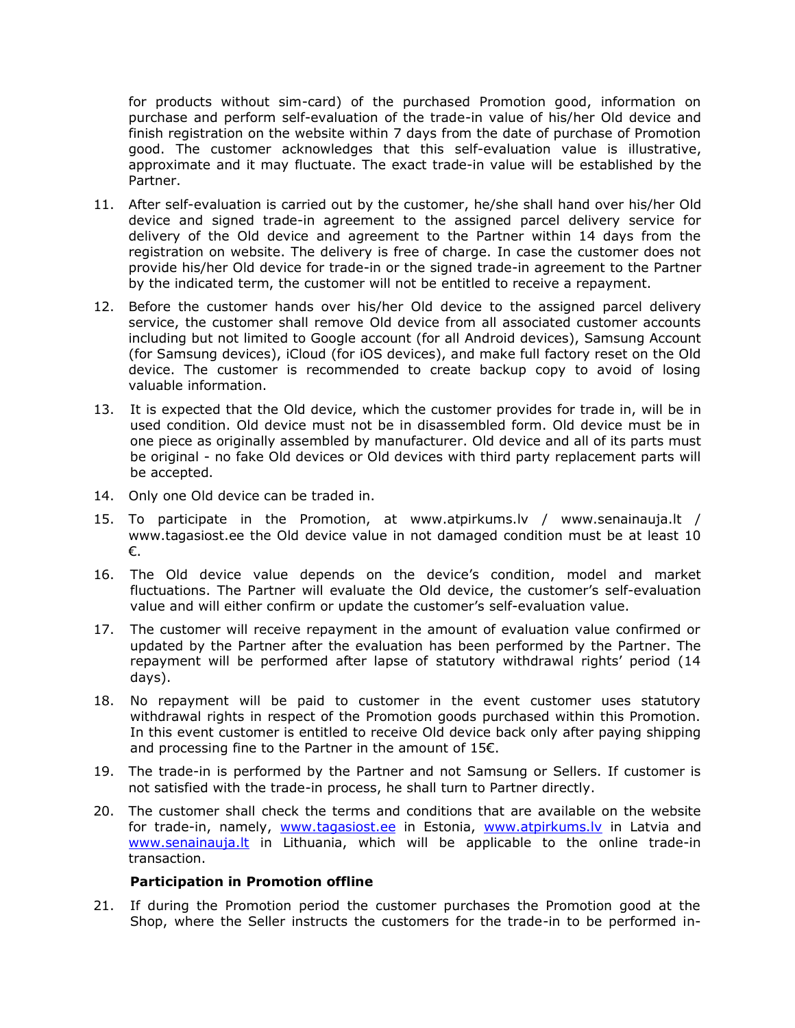for products without sim-card) of the purchased Promotion good, information on purchase and perform self-evaluation of the trade-in value of his/her Old device and finish registration on the website within 7 days from the date of purchase of Promotion good. The customer acknowledges that this self-evaluation value is illustrative, approximate and it may fluctuate. The exact trade-in value will be established by the Partner.

- 11. After self-evaluation is carried out by the customer, he/she shall hand over his/her Old device and signed trade-in agreement to the assigned parcel delivery service for delivery of the Old device and agreement to the Partner within 14 days from the registration on website. The delivery is free of charge. In case the customer does not provide his/her Old device for trade-in or the signed trade-in agreement to the Partner by the indicated term, the customer will not be entitled to receive a repayment.
- 12. Before the customer hands over his/her Old device to the assigned parcel delivery service, the customer shall remove Old device from all associated customer accounts including but not limited to Google account (for all Android devices), Samsung Account (for Samsung devices), iCloud (for iOS devices), and make full factory reset on the Old device. The customer is recommended to create backup copy to avoid of losing valuable information.
- 13. It is expected that the Old device, which the customer provides for trade in, will be in used condition. Old device must not be in disassembled form. Old device must be in one piece as originally assembled by manufacturer. Old device and all of its parts must be original - no fake Old devices or Old devices with third party replacement parts will be accepted.
- 14. Only one Old device can be traded in.
- 15. To participate in the Promotion, at www.atpirkums.lv / www.senainauja.lt / www.tagasiost.ee the Old device value in not damaged condition must be at least 10 €.
- 16. The Old device value depends on the device's condition, model and market fluctuations. The Partner will evaluate the Old device, the customer's self-evaluation value and will either confirm or update the customer's self-evaluation value.
- 17. The customer will receive repayment in the amount of evaluation value confirmed or updated by the Partner after the evaluation has been performed by the Partner. The repayment will be performed after lapse of statutory withdrawal rights' period (14 days).
- 18. No repayment will be paid to customer in the event customer uses statutory withdrawal rights in respect of the Promotion goods purchased within this Promotion. In this event customer is entitled to receive Old device back only after paying shipping and processing fine to the Partner in the amount of 15€.
- 19. The trade-in is performed by the Partner and not Samsung or Sellers. If customer is not satisfied with the trade-in process, he shall turn to Partner directly.
- 20. The customer shall check the terms and conditions that are available on the website for trade-in, namely, [www.tagasiost.ee](http://www.tagasiost.ee/) in Estonia, www.atpirkums.ly in Latvia and [www.senainauja.lt](http://www.senainauja.lt/) in Lithuania, which will be applicable to the online trade-in transaction.

### **Participation in Promotion offline**

21. If during the Promotion period the customer purchases the Promotion good at the Shop, where the Seller instructs the customers for the trade-in to be performed in